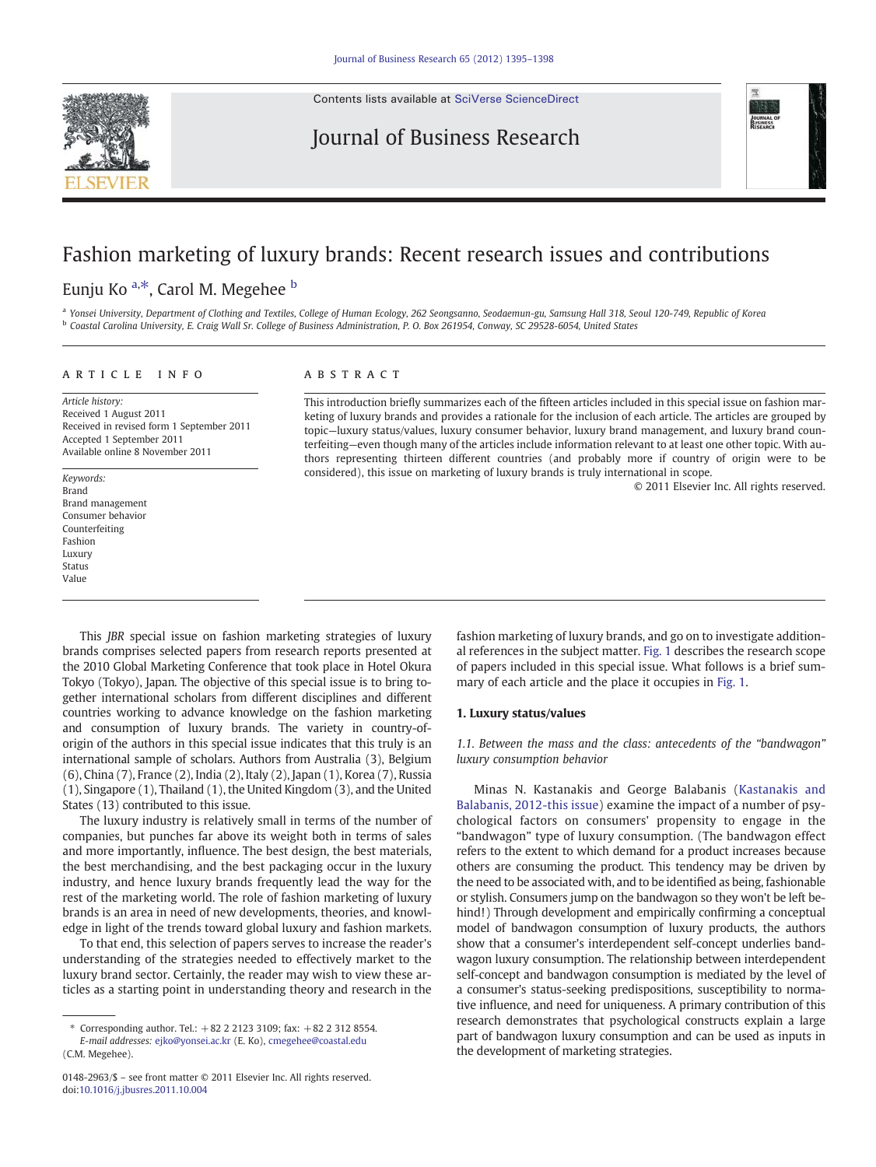Contents lists available at [SciVerse ScienceDirect](http://www.sciencedirect.com/science/journal/01482963)

Journal of Business Research



## Fashion marketing of luxury brands: Recent research issues and contributions

## Eunju Ko <sup>a,\*</sup>, Carol M. Megehee <sup>b</sup>

a Yonsei University, Department of Clothing and Textiles, College of Human Ecology, 262 Seongsanno, Seodaemun-gu, Samsung Hall 318, Seoul 120-749, Republic of Korea <sup>b</sup> Coastal Carolina University, E. Craig Wall Sr. College of Business Administration, P. O. Box 261954, Conway, SC 29528-6054, United States

#### article info abstract

Article history: Received 1 August 2011 Received in revised form 1 September 2011 Accepted 1 September 2011 Available online 8 November 2011

Keywords: Brand Brand management Consumer behavior Counterfeiting Fashion Luxury Status Value

This introduction briefly summarizes each of the fifteen articles included in this special issue on fashion marketing of luxury brands and provides a rationale for the inclusion of each article. The articles are grouped by topic—luxury status/values, luxury consumer behavior, luxury brand management, and luxury brand counterfeiting—even though many of the articles include information relevant to at least one other topic. With authors representing thirteen different countries (and probably more if country of origin were to be considered), this issue on marketing of luxury brands is truly international in scope.

© 2011 Elsevier Inc. All rights reserved.

This JBR special issue on fashion marketing strategies of luxury brands comprises selected papers from research reports presented at the 2010 Global Marketing Conference that took place in Hotel Okura Tokyo (Tokyo), Japan. The objective of this special issue is to bring together international scholars from different disciplines and different countries working to advance knowledge on the fashion marketing and consumption of luxury brands. The variety in country-oforigin of the authors in this special issue indicates that this truly is an international sample of scholars. Authors from Australia (3), Belgium (6), China (7), France (2), India (2), Italy (2), Japan (1), Korea (7), Russia (1), Singapore (1), Thailand (1), the United Kingdom (3), and the United States (13) contributed to this issue.

The luxury industry is relatively small in terms of the number of companies, but punches far above its weight both in terms of sales and more importantly, influence. The best design, the best materials, the best merchandising, and the best packaging occur in the luxury industry, and hence luxury brands frequently lead the way for the rest of the marketing world. The role of fashion marketing of luxury brands is an area in need of new developments, theories, and knowledge in light of the trends toward global luxury and fashion markets.

To that end, this selection of papers serves to increase the reader's understanding of the strategies needed to effectively market to the luxury brand sector. Certainly, the reader may wish to view these articles as a starting point in understanding theory and research in the

fashion marketing of luxury brands, and go on to investigate additional references in the subject matter. [Fig. 1](#page-1-0) describes the research scope of papers included in this special issue. What follows is a brief summary of each article and the place it occupies in [Fig. 1](#page-1-0).

#### 1. Luxury status/values

1.1. Between the mass and the class: antecedents of the "bandwagon" luxury consumption behavior

Minas N. Kastanakis and George Balabanis ([Kastanakis and](#page--1-0) [Balabanis, 2012-this issue](#page--1-0)) examine the impact of a number of psychological factors on consumers' propensity to engage in the "bandwagon" type of luxury consumption. (The bandwagon effect refers to the extent to which demand for a product increases because others are consuming the product. This tendency may be driven by the need to be associated with, and to be identified as being, fashionable or stylish. Consumers jump on the bandwagon so they won't be left behind!) Through development and empirically confirming a conceptual model of bandwagon consumption of luxury products, the authors show that a consumer's interdependent self-concept underlies bandwagon luxury consumption. The relationship between interdependent self-concept and bandwagon consumption is mediated by the level of a consumer's status-seeking predispositions, susceptibility to normative influence, and need for uniqueness. A primary contribution of this research demonstrates that psychological constructs explain a large part of bandwagon luxury consumption and can be used as inputs in the development of marketing strategies.

<sup>⁎</sup> Corresponding author. Tel.: +82 2 2123 3109; fax: +82 2 312 8554. E-mail addresses: [ejko@yonsei.ac.kr](mailto:ejko@yonsei.ac.kr) (E. Ko), [cmegehee@coastal.edu](mailto:cmegehee@coastal.edu) (C.M. Megehee).

<sup>0148-2963/\$</sup> – see front matter © 2011 Elsevier Inc. All rights reserved. doi:[10.1016/j.jbusres.2011.10.004](http://dx.doi.org/10.1016/j.jbusres.2011.10.004)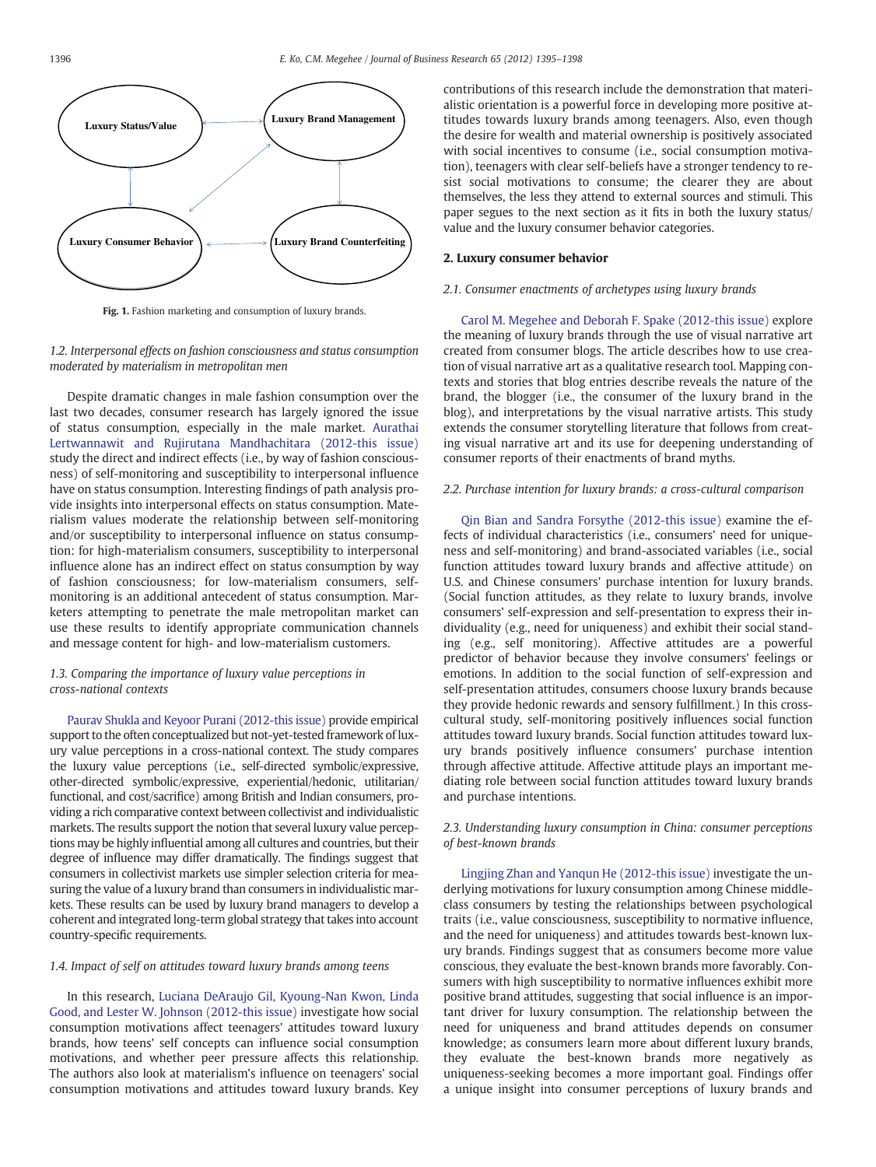<span id="page-1-0"></span>

Fig. 1. Fashion marketing and consumption of luxury brands.

1.2. Interpersonal effects on fashion consciousness and status consumption moderated by materialism in metropolitan men

Despite dramatic changes in male fashion consumption over the last two decades, consumer research has largely ignored the issue of status consumption, especially in the male market. [Aurathai](#page--1-0) [Lertwannawit and Rujirutana Mandhachitara \(2012-this issue\)](#page--1-0) study the direct and indirect effects (i.e., by way of fashion consciousness) of self-monitoring and susceptibility to interpersonal influence have on status consumption. Interesting findings of path analysis provide insights into interpersonal effects on status consumption. Materialism values moderate the relationship between self-monitoring and/or susceptibility to interpersonal influence on status consumption: for high-materialism consumers, susceptibility to interpersonal influence alone has an indirect effect on status consumption by way of fashion consciousness; for low-materialism consumers, selfmonitoring is an additional antecedent of status consumption. Marketers attempting to penetrate the male metropolitan market can use these results to identify appropriate communication channels and message content for high- and low-materialism customers.

### 1.3. Comparing the importance of luxury value perceptions in cross-national contexts

[Paurav Shukla and Keyoor Purani \(2012-this issue\)](#page--1-0) provide empirical support to the often conceptualized but not-yet-tested framework of luxury value perceptions in a cross-national context. The study compares the luxury value perceptions (i.e., self-directed symbolic/expressive, other-directed symbolic/expressive, experiential/hedonic, utilitarian/ functional, and cost/sacrifice) among British and Indian consumers, providing a rich comparative context between collectivist and individualistic markets. The results support the notion that several luxury value perceptions may be highly influential among all cultures and countries, but their degree of influence may differ dramatically. The findings suggest that consumers in collectivist markets use simpler selection criteria for measuring the value of a luxury brand than consumers in individualistic markets. These results can be used by luxury brand managers to develop a coherent and integrated long-term global strategy that takes into account country-specific requirements.

#### 1.4. Impact of self on attitudes toward luxury brands among teens

In this research, [Luciana DeAraujo Gil, Kyoung-Nan Kwon, Linda](#page--1-0) [Good, and Lester W. Johnson \(2012-this issue\)](#page--1-0) investigate how social consumption motivations affect teenagers' attitudes toward luxury brands, how teens' self concepts can influence social consumption motivations, and whether peer pressure affects this relationship. The authors also look at materialism's influence on teenagers' social consumption motivations and attitudes toward luxury brands. Key contributions of this research include the demonstration that materialistic orientation is a powerful force in developing more positive attitudes towards luxury brands among teenagers. Also, even though the desire for wealth and material ownership is positively associated with social incentives to consume (i.e., social consumption motivation), teenagers with clear self-beliefs have a stronger tendency to resist social motivations to consume; the clearer they are about themselves, the less they attend to external sources and stimuli. This paper segues to the next section as it fits in both the luxury status/ value and the luxury consumer behavior categories.

#### 2. Luxury consumer behavior

### 2.1. Consumer enactments of archetypes using luxury brands

[Carol M. Megehee and Deborah F. Spake \(2012-this issue\)](#page--1-0) explore the meaning of luxury brands through the use of visual narrative art created from consumer blogs. The article describes how to use creation of visual narrative art as a qualitative research tool. Mapping contexts and stories that blog entries describe reveals the nature of the brand, the blogger (i.e., the consumer of the luxury brand in the blog), and interpretations by the visual narrative artists. This study extends the consumer storytelling literature that follows from creating visual narrative art and its use for deepening understanding of consumer reports of their enactments of brand myths.

#### 2.2. Purchase intention for luxury brands: a cross-cultural comparison

[Qin Bian and Sandra Forsythe \(2012-this issue\)](#page--1-0) examine the effects of individual characteristics (i.e., consumers' need for uniqueness and self-monitoring) and brand-associated variables (i.e., social function attitudes toward luxury brands and affective attitude) on U.S. and Chinese consumers' purchase intention for luxury brands. (Social function attitudes, as they relate to luxury brands, involve consumers' self-expression and self-presentation to express their individuality (e.g., need for uniqueness) and exhibit their social standing (e.g., self monitoring). Affective attitudes are a powerful predictor of behavior because they involve consumers' feelings or emotions. In addition to the social function of self-expression and self-presentation attitudes, consumers choose luxury brands because they provide hedonic rewards and sensory fulfillment.) In this crosscultural study, self-monitoring positively influences social function attitudes toward luxury brands. Social function attitudes toward luxury brands positively influence consumers' purchase intention through affective attitude. Affective attitude plays an important mediating role between social function attitudes toward luxury brands and purchase intentions.

### 2.3. Understanding luxury consumption in China: consumer perceptions of best-known brands

[Lingjing Zhan and Yanqun He \(2012-this issue\)](#page--1-0) investigate the underlying motivations for luxury consumption among Chinese middleclass consumers by testing the relationships between psychological traits (i.e., value consciousness, susceptibility to normative influence, and the need for uniqueness) and attitudes towards best-known luxury brands. Findings suggest that as consumers become more value conscious, they evaluate the best-known brands more favorably. Consumers with high susceptibility to normative influences exhibit more positive brand attitudes, suggesting that social influence is an important driver for luxury consumption. The relationship between the need for uniqueness and brand attitudes depends on consumer knowledge; as consumers learn more about different luxury brands, they evaluate the best-known brands more negatively as uniqueness-seeking becomes a more important goal. Findings offer a unique insight into consumer perceptions of luxury brands and